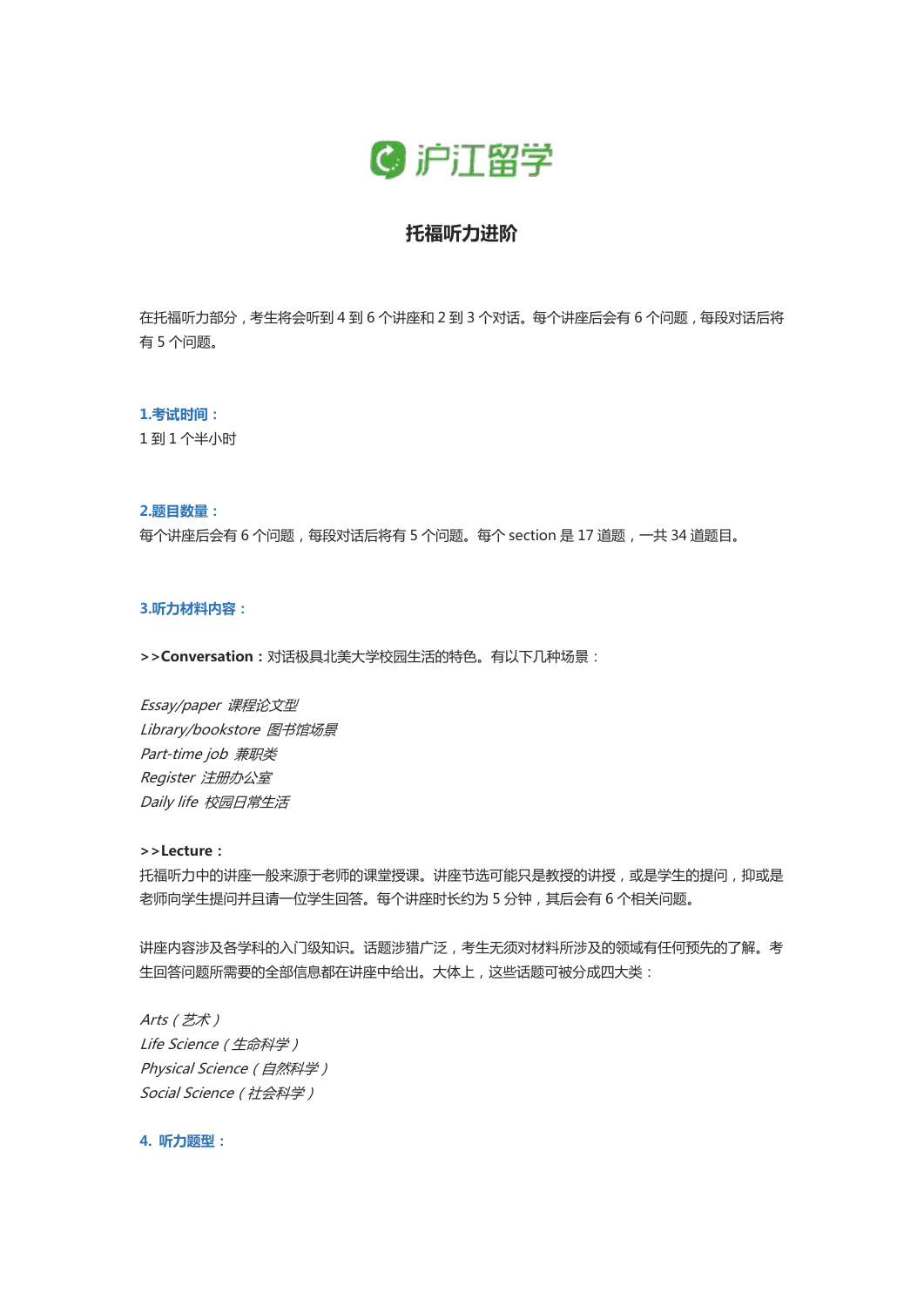

# **托福听力进阶**

在托福听力部分,考生将会听到 4 到 6 个讲座和 2 到 3 个对话。每个讲座后会有 6 个问题,每段对话后将 有 5 个问题。

#### **1.考试时间:**

1 到 1 个半小时

#### **2.题目数量:**

每个讲座后会有 6 个问题,每段对话后将有 5 个问题。每个 section 是 17 道题,一共 34 道题目。

# **3.听力材料内容:**

**>>Conversation:**对话极具北美大学校园生活的特色。有以下几种场景:

Essay/paper 课程论文型 Library/bookstore 图书馆场景 Part-time job 兼职类 Register 注册办公室 Daily life 校园日常生活

#### **>>Lecture:**

托福听力中的讲座一般来源于老师的课堂授课。讲座节选可能只是教授的讲授,或是学生的提问,抑或是 老师向学生提问并且请一位学生回答。每个讲座时长约为 5 分钟,其后会有 6 个相关问题。

讲座内容涉及各学科的入门级知识。话题涉猎广泛,考生无须对材料所涉及的领域有任何预先的了解。考 生回答问题所需要的全部信息都在讲座中给出。大体上,这些话题可被分成四大类:

Arts(艺术) Life Science (生命科学) Physical Science (自然科学) Social Science(社会科学)

**4. 听力题型:**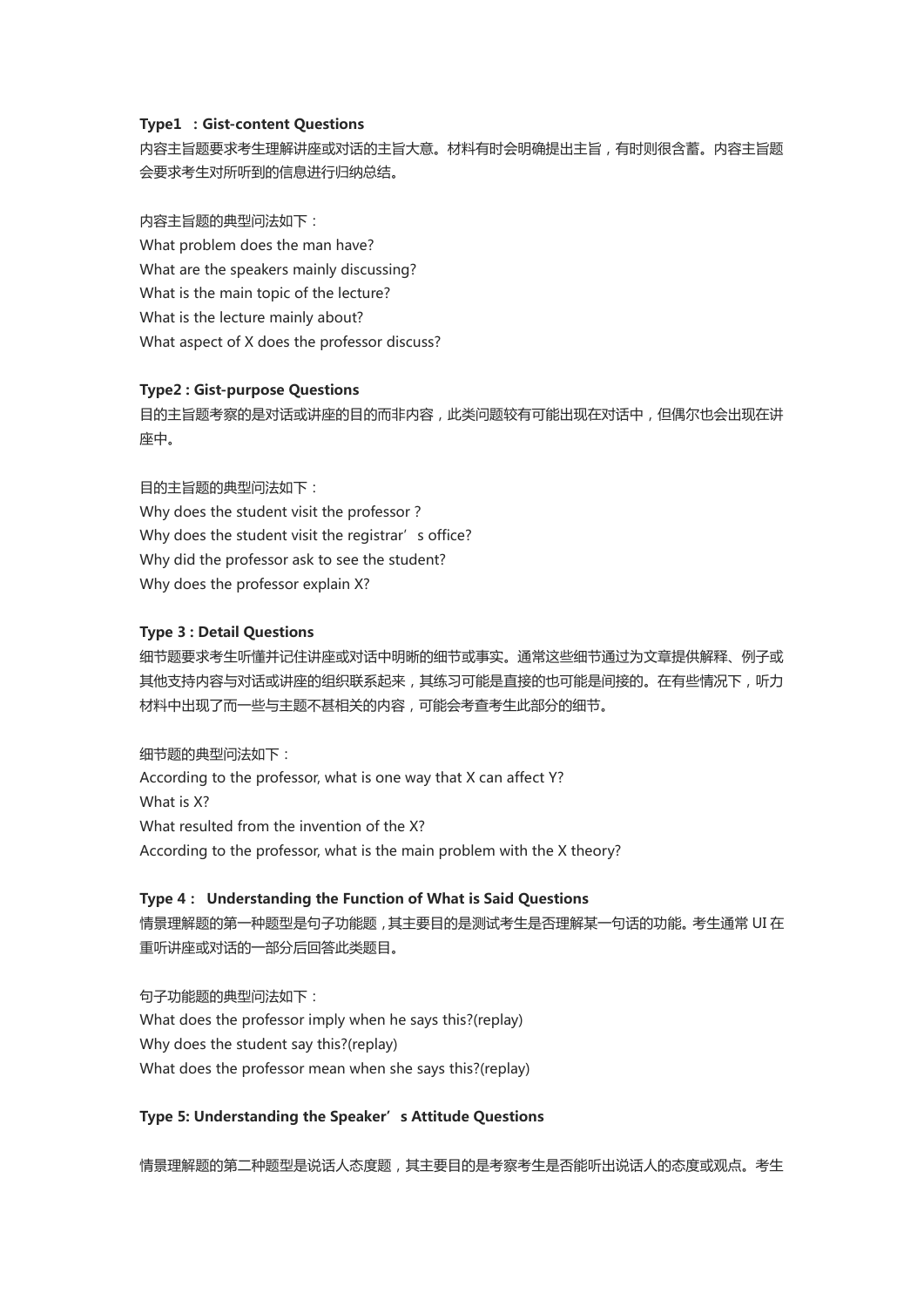## **Type1 :Gist-content Questions**

内容主旨题要求考生理解讲座或对话的主旨大意。材料有时会明确提出主旨,有时则很含蓄。内容主旨题 会要求考生对所听到的信息进行归纳总结。

内容主旨题的典型问法如下: What problem does the man have? What are the speakers mainly discussing? What is the main topic of the lecture? What is the lecture mainly about? What aspect of X does the professor discuss?

#### **Type2 : Gist-purpose Questions**

目的主旨题考察的是对话或讲座的目的而非内容,此类问题较有可能出现在对话中,但偶尔也会出现在讲 座中。

目的主旨题的典型问法如下: Why does the student visit the professor? Why does the student visit the registrar's office? Why did the professor ask to see the student? Why does the professor explain X?

#### **Type 3 : Detail Questions**

细节题要求考生听懂并记住讲座或对话中明晰的细节或事实。通常这些细节通过为文章提供解释、例子或 其他支持内容与对话或讲座的组织联系起来,其练习可能是直接的也可能是间接的。在有些情况下,听力 材料中出现了而一些与主题不甚相关的内容,可能会考查考生此部分的细节。

细节题的典型问法如下:

According to the professor, what is one way that X can affect Y? What is X? What resulted from the invention of the X? According to the professor, what is the main problem with the X theory?

## **Type 4: Understanding the Function of What is Said Questions**

情景理解题的第一种题型是句子功能题,其主要目的是测试考生是否理解某一句话的功能。考生通常 UI 在 重听讲座或对话的一部分后回答此类题目。

句子功能题的典型问法如下: What does the professor imply when he says this?(replay) Why does the student say this?(replay) What does the professor mean when she says this?(replay)

## **Type 5: Understanding the Speaker's Attitude Questions**

情景理解题的第二种题型是说话人态度题,其主要目的是考察考生是否能听出说话人的态度或观点。考生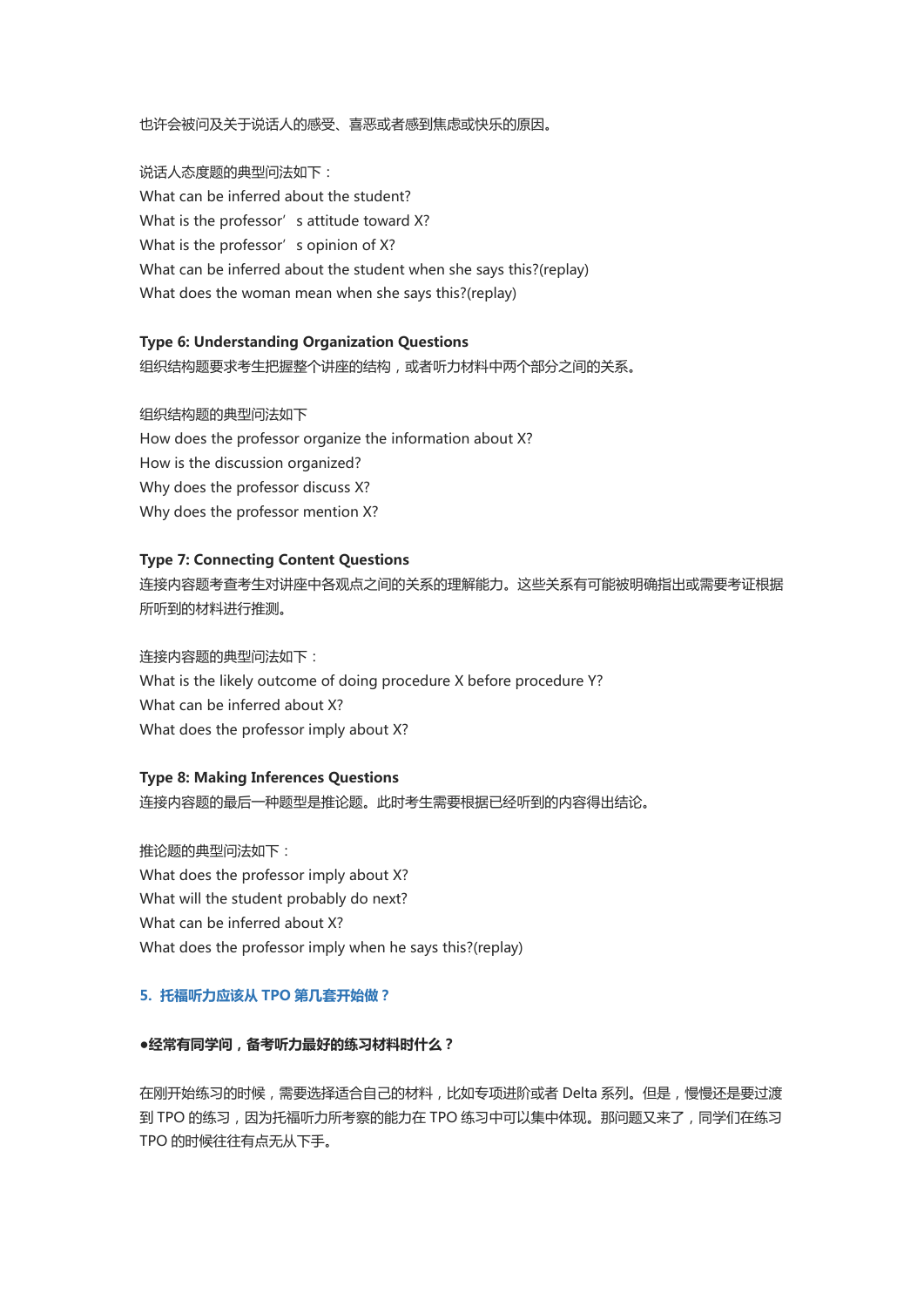也许会被问及关于说话人的感受、喜恶或者感到焦虑或快乐的原因。

说话人态度题的典型问法如下: What can be inferred about the student? What is the professor's attitude toward X? What is the professor's opinion of X? What can be inferred about the student when she says this?(replay) What does the woman mean when she says this?(replay)

## **Type 6: Understanding Organization Questions**

组织结构题要求考生把握整个讲座的结构,或者听力材料中两个部分之间的关系。

组织结构题的典型问法如下 How does the professor organize the information about X? How is the discussion organized? Why does the professor discuss X? Why does the professor mention X?

# **Type 7: Connecting Content Questions**

连接内容题考查考生对讲座中各观点之间的关系的理解能力。这些关系有可能被明确指出或需要考证根据 所听到的材料进行推测。

连接内容题的典型问法如下: What is the likely outcome of doing procedure X before procedure Y? What can be inferred about X? What does the professor imply about X?

# **Type 8: Making Inferences Questions**

连接内容题的最后一种题型是推论题。此时考生需要根据已经听到的内容得出结论。

推论题的典型问法如下: What does the professor imply about X? What will the student probably do next? What can be inferred about X? What does the professor imply when he says this?(replay)

# **5. 托福听力应该从 TPO 第几套开始做?**

## **●经常有同学问,备考听力最好的练习材料时什么?**

在刚开始练习的时候,需要选择适合自己的材料,比如专项进阶或者 Delta 系列。但是,慢慢还是要过渡 到 TPO 的练习,因为托福听力所考察的能力在 TPO 练习中可以集中体现。那问题又来了,同学们在练习 TPO 的时候往往有点无从下手。